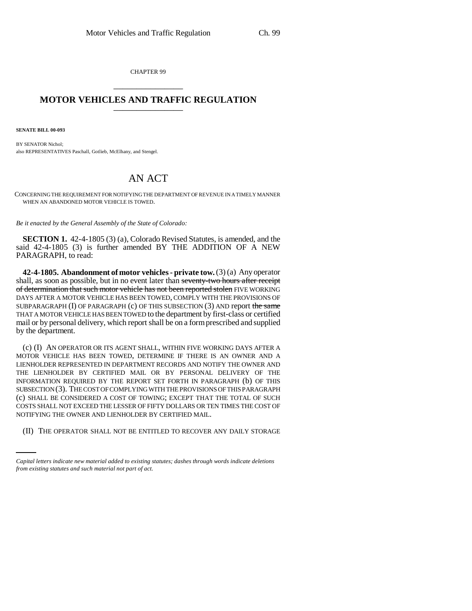CHAPTER 99 \_\_\_\_\_\_\_\_\_\_\_\_\_\_\_

## **MOTOR VEHICLES AND TRAFFIC REGULATION** \_\_\_\_\_\_\_\_\_\_\_\_\_\_\_

**SENATE BILL 00-093** 

BY SENATOR Nichol; also REPRESENTATIVES Paschall, Gotlieb, McElhany, and Stengel.

## AN ACT

CONCERNING THE REQUIREMENT FOR NOTIFYING THE DEPARTMENT OF REVENUE IN A TIMELY MANNER WHEN AN ABANDONED MOTOR VEHICLE IS TOWED.

*Be it enacted by the General Assembly of the State of Colorado:*

**SECTION 1.** 42-4-1805 (3) (a), Colorado Revised Statutes, is amended, and the said 42-4-1805 (3) is further amended BY THE ADDITION OF A NEW PARAGRAPH, to read:

**42-4-1805. Abandonment of motor vehicles - private tow.** (3) (a) Any operator shall, as soon as possible, but in no event later than seventy-two hours after receipt of determination that such motor vehicle has not been reported stolen FIVE WORKING DAYS AFTER A MOTOR VEHICLE HAS BEEN TOWED, COMPLY WITH THE PROVISIONS OF SUBPARAGRAPH  $(I)$  OF PARAGRAPH  $(c)$  OF THIS SUBSECTION  $(3)$  AND report the same THAT A MOTOR VEHICLE HAS BEEN TOWED to the department by first-class or certified mail or by personal delivery, which report shall be on a form prescribed and supplied by the department.

NOTIFYING THE OWNER AND LIENHOLDER BY CERTIFIED MAIL. (c) (I) AN OPERATOR OR ITS AGENT SHALL, WITHIN FIVE WORKING DAYS AFTER A MOTOR VEHICLE HAS BEEN TOWED, DETERMINE IF THERE IS AN OWNER AND A LIENHOLDER REPRESENTED IN DEPARTMENT RECORDS AND NOTIFY THE OWNER AND THE LIENHOLDER BY CERTIFIED MAIL OR BY PERSONAL DELIVERY OF THE INFORMATION REQUIRED BY THE REPORT SET FORTH IN PARAGRAPH (b) OF THIS SUBSECTION (3). THE COST OF COMPLYING WITH THE PROVISIONS OF THIS PARAGRAPH (c) SHALL BE CONSIDERED A COST OF TOWING; EXCEPT THAT THE TOTAL OF SUCH COSTS SHALL NOT EXCEED THE LESSER OF FIFTY DOLLARS OR TEN TIMES THE COST OF

(II) THE OPERATOR SHALL NOT BE ENTITLED TO RECOVER ANY DAILY STORAGE

*Capital letters indicate new material added to existing statutes; dashes through words indicate deletions from existing statutes and such material not part of act.*